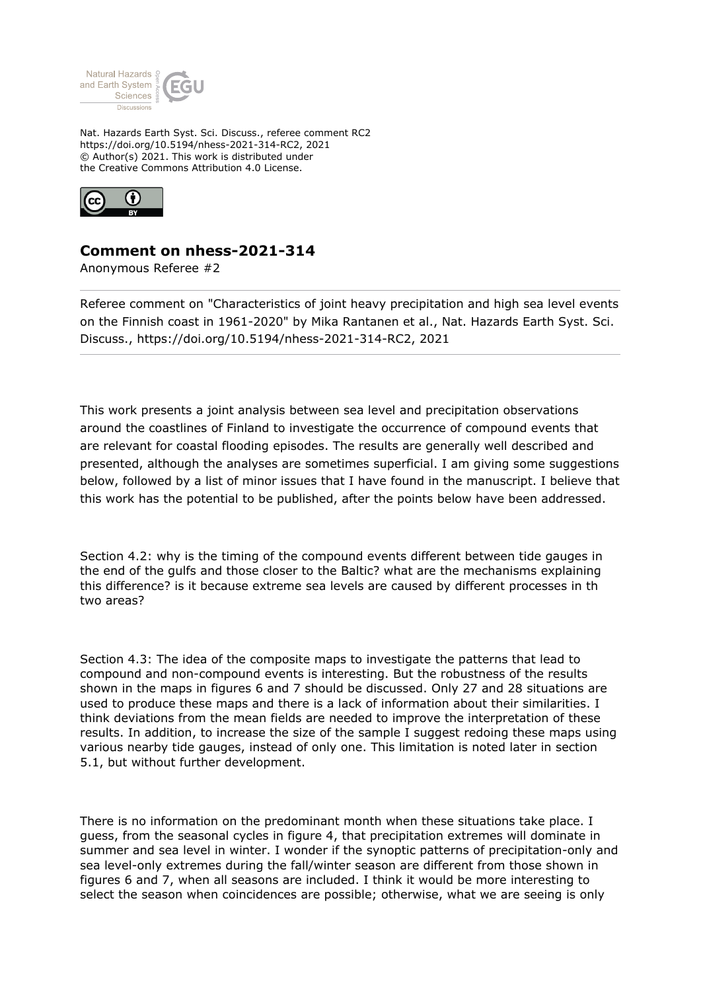

Nat. Hazards Earth Syst. Sci. Discuss., referee comment RC2 https://doi.org/10.5194/nhess-2021-314-RC2, 2021 © Author(s) 2021. This work is distributed under the Creative Commons Attribution 4.0 License.



## **Comment on nhess-2021-314**

Anonymous Referee #2

Referee comment on "Characteristics of joint heavy precipitation and high sea level events on the Finnish coast in 1961-2020" by Mika Rantanen et al., Nat. Hazards Earth Syst. Sci. Discuss., https://doi.org/10.5194/nhess-2021-314-RC2, 2021

This work presents a joint analysis between sea level and precipitation observations around the coastlines of Finland to investigate the occurrence of compound events that are relevant for coastal flooding episodes. The results are generally well described and presented, although the analyses are sometimes superficial. I am giving some suggestions below, followed by a list of minor issues that I have found in the manuscript. I believe that this work has the potential to be published, after the points below have been addressed.

Section 4.2: why is the timing of the compound events different between tide gauges in the end of the gulfs and those closer to the Baltic? what are the mechanisms explaining this difference? is it because extreme sea levels are caused by different processes in th two areas?

Section 4.3: The idea of the composite maps to investigate the patterns that lead to compound and non-compound events is interesting. But the robustness of the results shown in the maps in figures 6 and 7 should be discussed. Only 27 and 28 situations are used to produce these maps and there is a lack of information about their similarities. I think deviations from the mean fields are needed to improve the interpretation of these results. In addition, to increase the size of the sample I suggest redoing these maps using various nearby tide gauges, instead of only one. This limitation is noted later in section 5.1, but without further development.

There is no information on the predominant month when these situations take place. I guess, from the seasonal cycles in figure 4, that precipitation extremes will dominate in summer and sea level in winter. I wonder if the synoptic patterns of precipitation-only and sea level-only extremes during the fall/winter season are different from those shown in figures 6 and 7, when all seasons are included. I think it would be more interesting to select the season when coincidences are possible; otherwise, what we are seeing is only